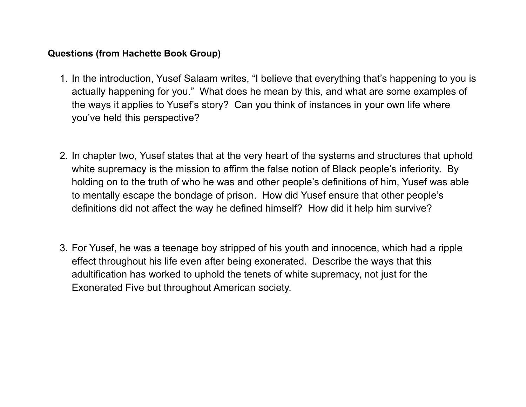## **Questions (from Hachette Book Group)**

- 1. In the introduction, Yusef Salaam writes, "I believe that everything that's happening to you is actually happening for you." What does he mean by this, and what are some examples of the ways it applies to Yusef's story? Can you think of instances in your own life where you've held this perspective?
- 2. In chapter two, Yusef states that at the very heart of the systems and structures that uphold white supremacy is the mission to affirm the false notion of Black people's inferiority. By holding on to the truth of who he was and other people's definitions of him, Yusef was able to mentally escape the bondage of prison. How did Yusef ensure that other people's definitions did not affect the way he defined himself? How did it help him survive?
- 3. For Yusef, he was a teenage boy stripped of his youth and innocence, which had a ripple effect throughout his life even after being exonerated. Describe the ways that this adultification has worked to uphold the tenets of white supremacy, not just for the Exonerated Five but throughout American society.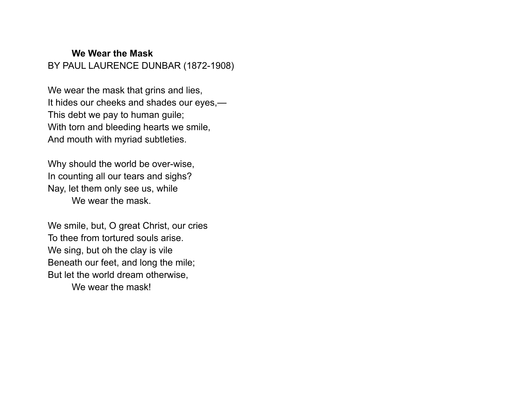## **We Wear the Mask** BY PAUL LAURENCE DUNBAR (1872-1908)

We wear the mask that grins and lies, It hides our cheeks and shades our eyes,— This debt we pay to human guile; With torn and bleeding hearts we smile, And mouth with myriad subtleties.

Why should the world be over-wise, In counting all our tears and sighs? Nay, let them only see us, while We wear the mask.

We smile, but, O great Christ, our cries To thee from tortured souls arise. We sing, but oh the clay is vile Beneath our feet, and long the mile; But let the world dream otherwise, We wear the mask!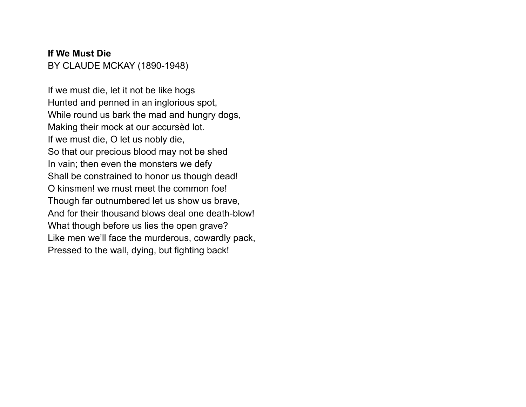## **If We Must Die** BY CLAUDE MCKAY (1890-1948)

If we must die, let it not be like hogs Hunted and penned in an inglorious spot, While round us bark the mad and hungry dogs, Making their mock at our accursèd lot. If we must die, O let us nobly die, So that our precious blood may not be shed In vain; then even the monsters we defy Shall be constrained to honor us though dead! O kinsmen! we must meet the common foe! Though far outnumbered let us show us brave, And for their thousand blows deal one death-blow! What though before us lies the open grave? Like men we'll face the murderous, cowardly pack, Pressed to the wall, dying, but fighting back!